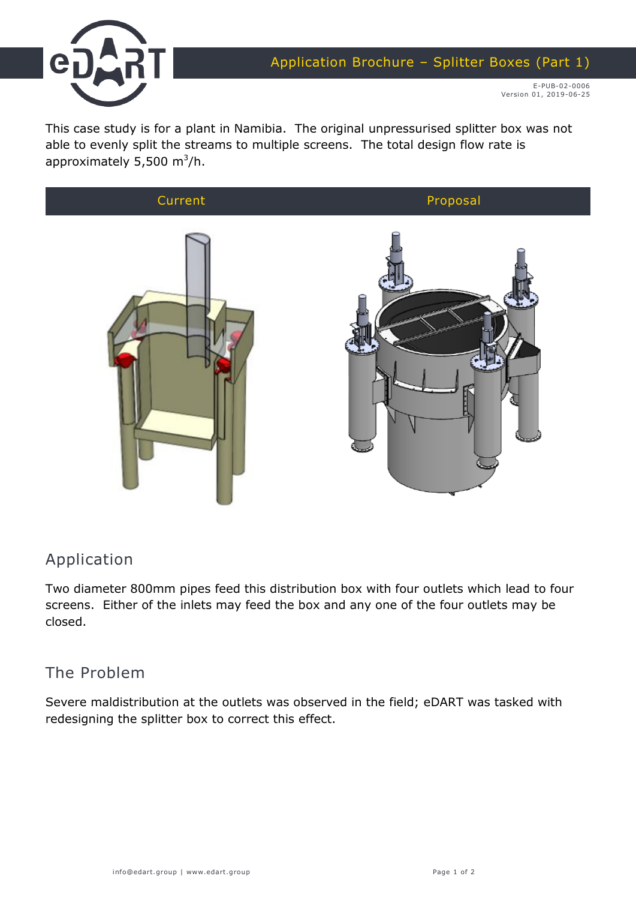

E-PUB-02-0006 Version 01, 2019-06-25

This case study is for a plant in Namibia. The original unpressurised splitter box was not able to evenly split the streams to multiple screens. The total design flow rate is approximately 5,500 m $^3$ /h.



## Application

Two diameter 800mm pipes feed this distribution box with four outlets which lead to four screens. Either of the inlets may feed the box and any one of the four outlets may be closed.

## The Problem

Severe maldistribution at the outlets was observed in the field; eDART was tasked with redesigning the splitter box to correct this effect.